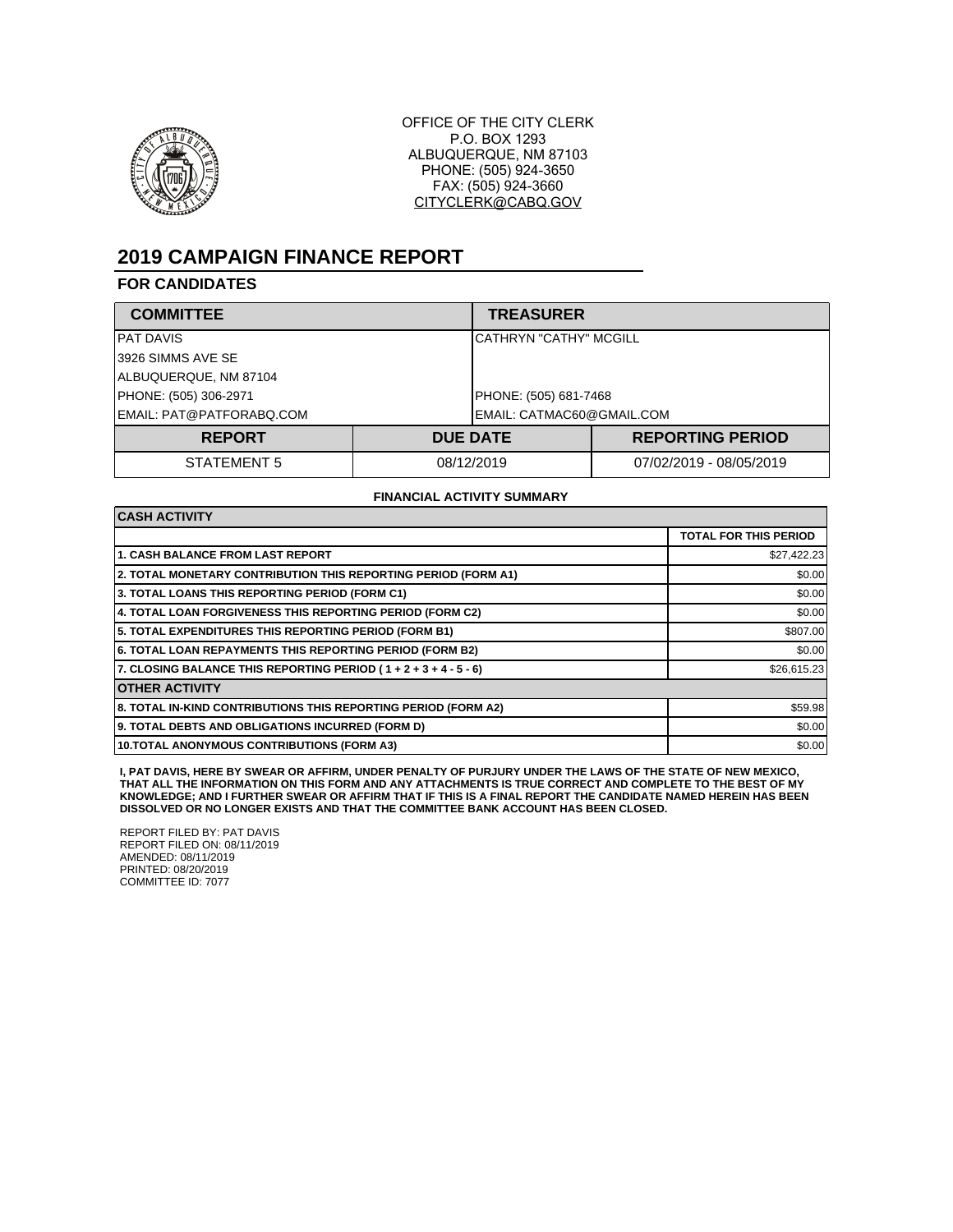

OFFICE OF THE CITY CLERK P.O. BOX 1293 ALBUQUERQUE, NM 87103 PHONE: (505) 924-3650 FAX: (505) 924-3660 CITYCLERK@CABQ.GOV

# **2019 CAMPAIGN FINANCE REPORT**

### **FOR CANDIDATES**

| <b>COMMITTEE</b>         |                       | <b>TREASURER</b>              |  |  |
|--------------------------|-----------------------|-------------------------------|--|--|
| IPAT DAVIS               |                       | <b>CATHRYN "CATHY" MCGILL</b> |  |  |
| I3926 SIMMS AVE SE       |                       |                               |  |  |
| ALBUQUERQUE, NM 87104    |                       |                               |  |  |
| PHONE: (505) 306-2971    | PHONE: (505) 681-7468 |                               |  |  |
| EMAIL: PAT@PATFORABQ.COM |                       | EMAIL: CATMAC60@GMAIL.COM     |  |  |
| <b>REPORT</b>            | <b>DUE DATE</b>       | <b>REPORTING PERIOD</b>       |  |  |
| STATEMENT 5              | 08/12/2019            | 07/02/2019 - 08/05/2019       |  |  |

#### **FINANCIAL ACTIVITY SUMMARY**

| <b>CASH ACTIVITY</b>                                            |                              |  |  |  |
|-----------------------------------------------------------------|------------------------------|--|--|--|
|                                                                 | <b>TOTAL FOR THIS PERIOD</b> |  |  |  |
| <b>1. CASH BALANCE FROM LAST REPORT</b>                         | \$27,422.23                  |  |  |  |
| 2. TOTAL MONETARY CONTRIBUTION THIS REPORTING PERIOD (FORM A1)  | \$0.00                       |  |  |  |
| 3. TOTAL LOANS THIS REPORTING PERIOD (FORM C1)                  | \$0.00                       |  |  |  |
| 4. TOTAL LOAN FORGIVENESS THIS REPORTING PERIOD (FORM C2)       | \$0.00                       |  |  |  |
| 5. TOTAL EXPENDITURES THIS REPORTING PERIOD (FORM B1)           | \$807.00                     |  |  |  |
| <b>6. TOTAL LOAN REPAYMENTS THIS REPORTING PERIOD (FORM B2)</b> | \$0.00                       |  |  |  |
| 7. CLOSING BALANCE THIS REPORTING PERIOD (1+2+3+4-5-6)          | \$26,615.23                  |  |  |  |
| <b>OTHER ACTIVITY</b>                                           |                              |  |  |  |
| 8. TOTAL IN-KIND CONTRIBUTIONS THIS REPORTING PERIOD (FORM A2)  | \$59.98                      |  |  |  |
| 9. TOTAL DEBTS AND OBLIGATIONS INCURRED (FORM D)                | \$0.00                       |  |  |  |
| 10. TOTAL ANONYMOUS CONTRIBUTIONS (FORM A3)                     | \$0.00                       |  |  |  |

I, PAT DAVIS, HERE BY SWEAR OR AFFIRM, UNDER PENALTY OF PURJURY UNDER THE LAWS OF THE STATE OF NEW MEXICO,<br>THAT ALL THE INFORMATION ON THIS FORM AND ANY ATTACHMENTS IS TRUE CORRECT AND COMPLETE TO THE BEST OF MY<br>KNOWLEDGE;

REPORT FILED BY: PAT DAVIS REPORT FILED ON: 08/11/2019 AMENDED: 08/11/2019 PRINTED: 08/20/2019 COMMITTEE ID: 7077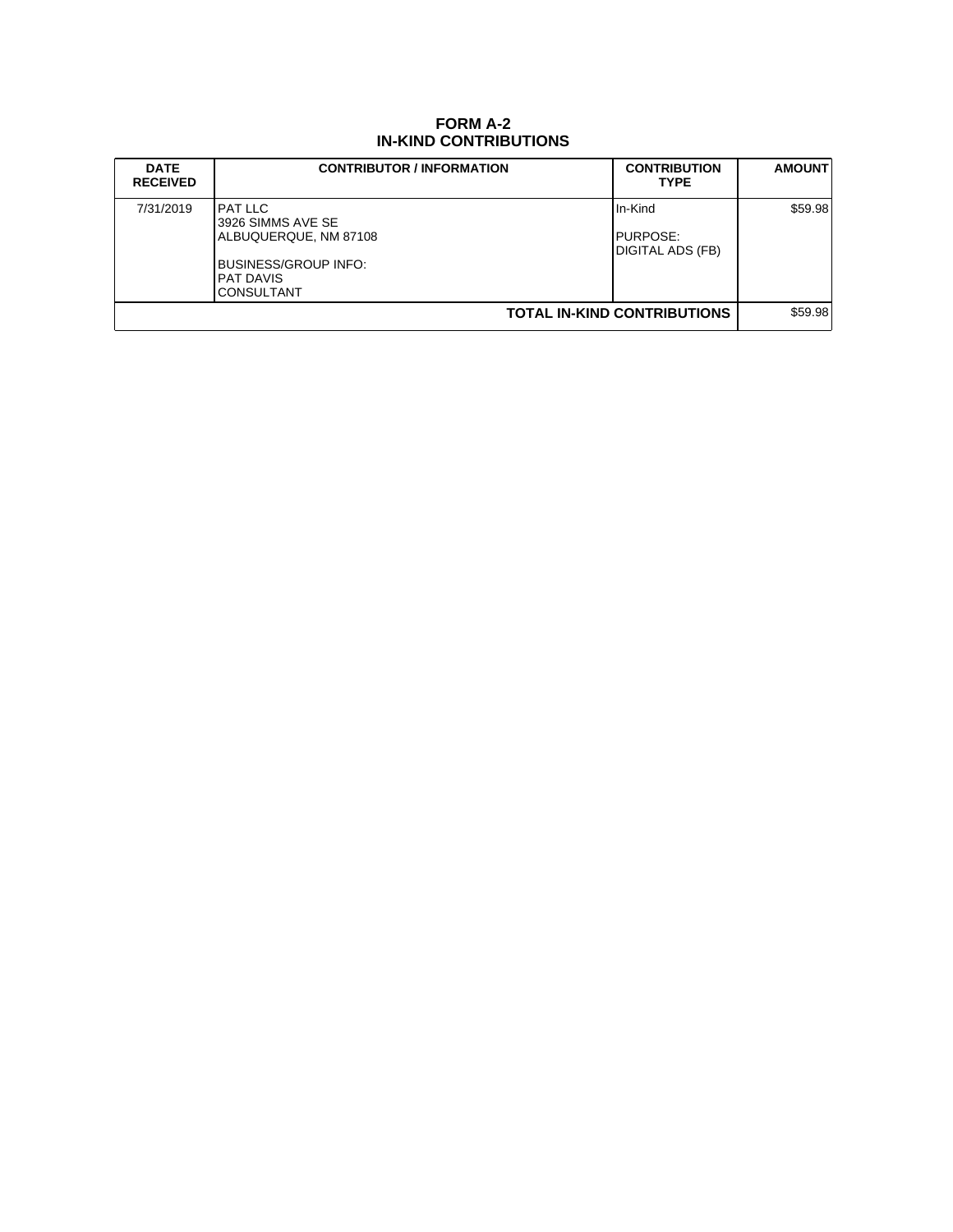## **FORM A-2 IN-KIND CONTRIBUTIONS**

| <b>DATE</b><br><b>RECEIVED</b>     | <b>CONTRIBUTOR / INFORMATION</b>                                                                                                     | <b>CONTRIBUTION</b><br><b>TYPE</b>                 | <b>AMOUNT</b> |
|------------------------------------|--------------------------------------------------------------------------------------------------------------------------------------|----------------------------------------------------|---------------|
| 7/31/2019                          | <b>PAT LLC</b><br>3926 SIMMS AVE SE<br>ALBUQUERQUE, NM 87108<br><b>BUSINESS/GROUP INFO:</b><br><b>PAT DAVIS</b><br><b>CONSULTANT</b> | IIn-Kind<br><b>I</b> PURPOSE:<br>IDIGITAL ADS (FB) | \$59.98       |
| <b>TOTAL IN-KIND CONTRIBUTIONS</b> |                                                                                                                                      |                                                    | \$59.98       |